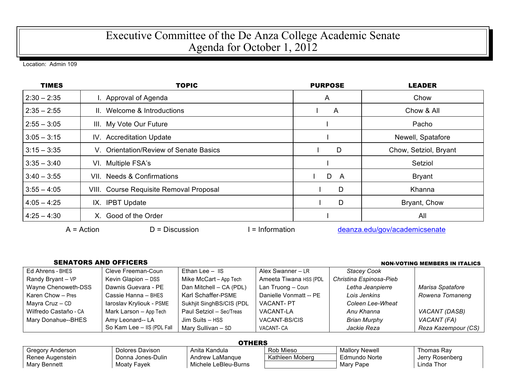## Executive Committee of the De Anza College Academic Senate Agenda for October 1, 2012

Location: Admin 109

| <b>TIMES</b>  | <b>TOPIC</b>                                        | <b>PURPOSE</b> | <b>LEADER</b>                 |  |
|---------------|-----------------------------------------------------|----------------|-------------------------------|--|
| $2:30 - 2:35$ | I. Approval of Agenda                               | A              | Chow                          |  |
| $2:35 - 2:55$ | II. Welcome & Introductions                         | A              | Chow & All                    |  |
| $2:55 - 3:05$ | III. My Vote Our Future                             |                | Pacho                         |  |
| $3:05 - 3:15$ | IV. Accreditation Update                            |                | Newell, Spatafore             |  |
| $3:15 - 3:35$ | V. Orientation/Review of Senate Basics              | D              | Chow, Setziol, Bryant         |  |
| $3:35 - 3:40$ | VI. Multiple FSA's                                  |                | Setziol                       |  |
| $3:40 - 3:55$ | VII. Needs & Confirmations                          | D<br>A         | <b>Bryant</b>                 |  |
| $3:55 - 4:05$ | VIII. Course Requisite Removal Proposal             | D              | Khanna                        |  |
| $4:05 - 4:25$ | IX. IPBT Update                                     | D              | Bryant, Chow                  |  |
| $4:25 - 4:30$ | X. Good of the Order                                |                | All                           |  |
|               | $D = Discussion$<br>$A = Action$<br>$=$ Information |                | deanza.edu/gov/academicsenate |  |

## SENATORS AND OFFICERS **Non-Voting Members** in Italics

| Ed Ahrens - BHES      | Cleve Freeman-Coun         | Ethan Lee $-$ IIS        | Alex Swanner - LR      | <b>Stacey Cook</b>      |                     |
|-----------------------|----------------------------|--------------------------|------------------------|-------------------------|---------------------|
| Randy Bryant - VP     | Kevin Glapion - DSS        | Mike McCart - App Tech   | Ameeta Tiwana HSS (PDL | Christina Espinosa-Pieb |                     |
| Wayne Chenoweth-DSS   | Dawnis Guevara - PE        | Dan Mitchell - CA (PDL)  | Lan Truong - Coun      | Letha Jeanpierre        | Marisa Spatafore    |
| Karen Chow - Pres     | Cassie Hanna - BHES        | Karl Schaffer-PSME       | Danielle Vonmatt -- PE | Lois Jenkins            | Rowena Tomaneng     |
| Mayra Cruz - CD       | laroslav Kryliouk - PSME   | Sukhjit SinghBS/CIS (PDL | <b>VACANT-PT</b>       | Coleen Lee-Wheat        |                     |
| Wilfredo Castaño - CA | Mark Larson - App Tech     | Paul Setziol - Sec/Treas | VACANT-LA              | Anu Khanna              | VACANT (DASB)       |
| Mary Donahue--BHES    | Amy Leonard-- LA           | Jim Suits - HSS          | VACANT-BS/CIS          | <b>Brian Murphy</b>     | VACANT (FA)         |
|                       | So Kam Lee - IIS (PDL Fall | Mary Sullivan - SD       | VACANT- CA             | Jackie Reza             | Reza Kazempour (CS) |
|                       |                            |                          |                        |                         |                     |

| <b>OTHERS</b>    |                   |                      |                 |                       |                 |
|------------------|-------------------|----------------------|-----------------|-----------------------|-----------------|
| Gregory Anderson | Dolores Davison   | Anita Kandula        | Rob Mieso       | <b>Mallory Newell</b> | Thomas Ray      |
| Renee Augenstein | Donna Jones-Dulin | Andrew LaMangue      | Kathleen Moberg | Edmundo Norte         | Jerry Rosenberg |
| Mary Bennett     | Moaty Fayek       | Michele LeBleu-Burns |                 | Mary Pape             | Linda Thor      |